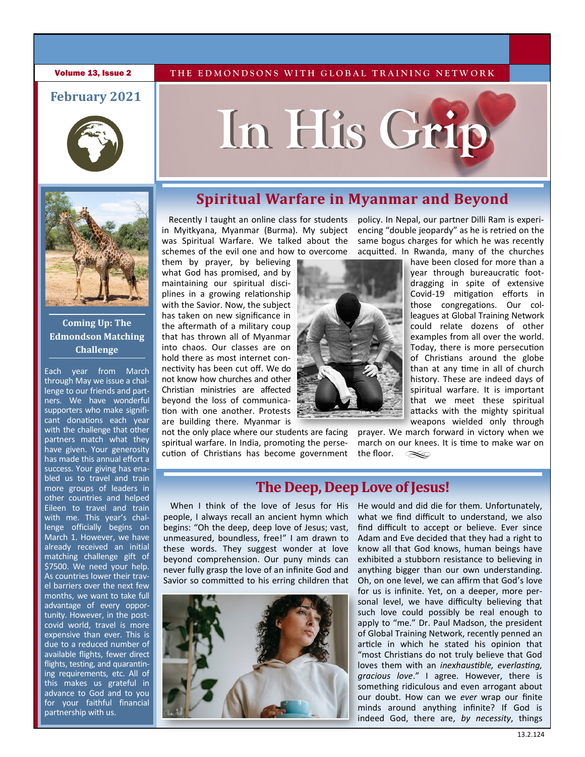**Volume 13, Issue 2** THE EDMONDSONS WITH GLOBAL TRAINING NETWORK

### **February 2021**







### **Coming Up: The Edmondson Matching Challenge**

Each year from March through May we issue a challenge to our friends and partners. We have wonderful supporters who make significant donations each year with the challenge that other partners match what they have given. Your generosity has made this annual effort a success. Your giving has enabled us to travel and train more groups of leaders in other countries and helped Eileen to travel and train with me. This year's challenge officially begins on March 1. However, we have already received an initial matching challenge gift of \$7500. We need your help. As countries lower their travel barriers over the next few months, we want to take full advantage of every opportunity. However, in the postcovid world, travel is more expensive than ever. This is due to a reduced number of available flights, fewer direct flights, testing, and quarantining requirements, etc. All of this makes us grateful in advance to God and to you for your faithful financial partnership with us.

### **Spiritual Warfare in Myanmar and Beyond**

Recently I taught an online class for students in Myitkyana, Myanmar (Burma). My subject was Spiritual Warfare. We talked about the schemes of the evil one and how to overcome

them by prayer, by believing what God has promised, and by maintaining our spiritual disciplines in a growing relationship with the Savior. Now, the subject has taken on new significance in the aftermath of a military coup that has thrown all of Myanmar into chaos. Our classes are on hold there as most internet connectivity has been cut off. We do not know how churches and other Christian ministries are affected beyond the loss of communication with one another. Protests are building there. Myanmar is

not the only place where our students are facing spiritual warfare. In India, promoting the persecution of Christians has become government



policy. In Nepal, our partner Dilli Ram is experiencing "double jeopardy" as he is retried on the same bogus charges for which he was recently acquitted. In Rwanda, many of the churches

have been closed for more than a year through bureaucratic footdragging in spite of extensive Covid-19 mitigation efforts in those congregations. Our colleagues at Global Training Network could relate dozens of other examples from all over the world. Today, there is more persecution of Christians around the globe than at any time in all of church history. These are indeed days of spiritual warfare. It is important that we meet these spiritual attacks with the mighty spiritual weapons wielded only through

prayer. We march forward in victory when we march on our knees. It is time to make war on the floor.  $\infty$ 

### **The Deep, Deep Love of Jesus!**

When I think of the love of Jesus for His people, I always recall an ancient hymn which begins: "Oh the deep, deep love of Jesus; vast, unmeasured, boundless, free!" I am drawn to these words. They suggest wonder at love beyond comprehension. Our puny minds can never fully grasp the love of an infinite God and Savior so committed to his erring children that



He would and did die for them. Unfortunately, what we find difficult to understand, we also find difficult to accept or believe. Ever since Adam and Eve decided that they had a right to know all that God knows, human beings have exhibited a stubborn resistance to believing in anything bigger than our own understanding. Oh, on one level, we can affirm that God's love for us is infinite. Yet, on a deeper, more personal level, we have difficulty believing that such love could possibly be real enough to apply to "me." Dr. Paul Madson, the president of Global Training Network, recently penned an article in which he stated his opinion that "most Christians do not truly believe that God loves them with an *inexhaustible, everlasting, gracious love*." I agree. However, there is something ridiculous and even arrogant about our doubt. How can we *ever* wrap our finite minds around anything infinite? If God is indeed God, there are, *by necessity*, things